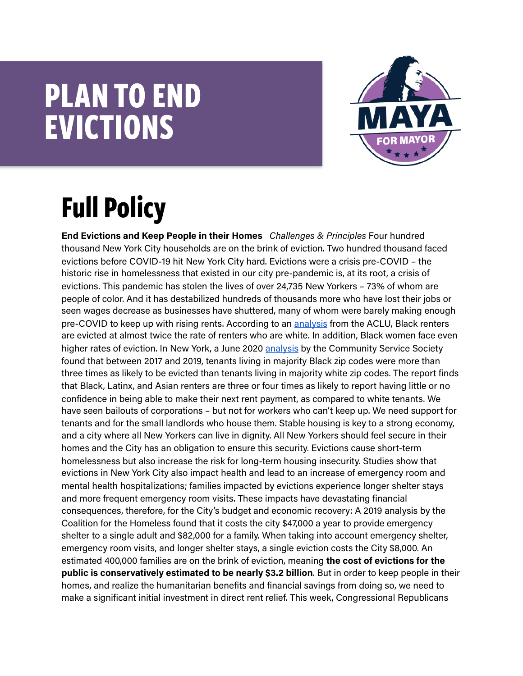## **PLAN TO END EVICTIONS**



## **Full Policy**

**End Evictions and Keep People in their Homes** *Challenges & Principles* Four hundred thousand New York City households are on the brink of eviction. Two hundred thousand faced evictions before COVID-19 hit New York City hard. Evictions were a crisis pre-COVID – the historic rise in homelessness that existed in our city pre-pandemic is, at its root, a crisis of evictions. This pandemic has stolen the lives of over 24,735 New Yorkers – 73% of whom are people of color. And it has destabilized hundreds of thousands more who have lost their jobs or seen wages decrease as businesses have shuttered, many of whom were barely making enough pre-COVID to keep up with rising rents. According to an [analysis](https://www.aclu.org/news/racial-justice/clearing-the-record-how-eviction-sealing-laws-can-advance-housing-access-for-women-of-color/) from the ACLU, Black renters are evicted at almost twice the rate of renters who are white. In addition, Black women face even higher rates of eviction. In New York, a June 202[0 analysis](https://www.cssny.org/news/entry/race-evictions-new-york-city) by the Community Service Society found that between 2017 and 2019, tenants living in majority Black zip codes were more than three times as likely to be evicted than tenants living in majority white zip codes. The report finds that Black, Latinx, and Asian renters are three or four times as likely to report having little or no confidence in being able to make their next rent payment, as compared to white tenants. We have seen bailouts of corporations – but not for workers who can't keep up. We need support for tenants and for the small landlords who house them. Stable housing is key to a strong economy, and a city where all New Yorkers can live in dignity. All New Yorkers should feel secure in their homes and the City has an obligation to ensure this security. Evictions cause short-term homelessness but also increase the risk for long-term housing insecurity. Studies show that evictions in New York City also impact health and lead to an increase of emergency room and mental health hospitalizations; families impacted by evictions experience longer shelter stays and more frequent emergency room visits. These impacts have devastating financial consequences, therefore, for the City's budget and economic recovery: A 2019 analysis by the Coalition for the Homeless found that it costs the city \$47,000 a year to provide emergency shelter to a single adult and \$82,000 for a family. When taking into account emergency shelter, emergency room visits, and longer shelter stays, a single eviction costs the City \$8,000. An estimated 400,000 families are on the brink of eviction, meaning **the cost of evictions for the public is conservatively estimated to be nearly \$3.2 billion**. But in order to keep people in their homes, and realize the humanitarian benefits and financial savings from doing so, we need to make a significant initial investment in direct rent relief. This week, Congressional Republicans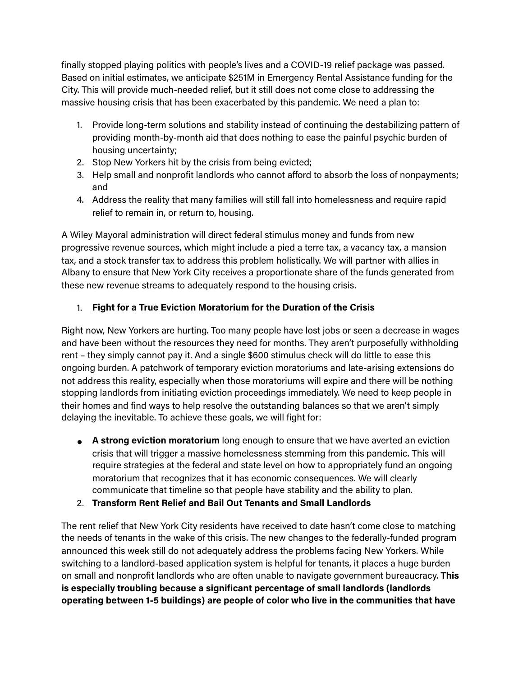finally stopped playing politics with people's lives and a COVID-19 relief package was passed. Based on initial estimates, we anticipate \$251M in Emergency Rental Assistance funding for the City. This will provide much-needed relief, but it still does not come close to addressing the massive housing crisis that has been exacerbated by this pandemic. We need a plan to:

- 1. Provide long-term solutions and stability instead of continuing the destabilizing pattern of providing month-by-month aid that does nothing to ease the painful psychic burden of housing uncertainty;
- 2. Stop New Yorkers hit by the crisis from being evicted;
- 3. Help small and nonprofit landlords who cannot afford to absorb the loss of nonpayments; and
- 4. Address the reality that many families will still fall into homelessness and require rapid relief to remain in, or return to, housing.

A Wiley Mayoral administration will direct federal stimulus money and funds from new progressive revenue sources, which might include a pied a terre tax, a vacancy tax, a mansion tax, and a stock transfer tax to address this problem holistically. We will partner with allies in Albany to ensure that New York City receives a proportionate share of the funds generated from these new revenue streams to adequately respond to the housing crisis.

## 1. **Fight for a True Eviction Moratorium for the Duration of the Crisis**

Right now, New Yorkers are hurting. Too many people have lost jobs or seen a decrease in wages and have been without the resources they need for months. They aren't purposefully withholding rent – they simply cannot pay it. And a single \$600 stimulus check will do little to ease this ongoing burden. A patchwork of temporary eviction moratoriums and late-arising extensions do not address this reality, especially when those moratoriums will expire and there will be nothing stopping landlords from initiating eviction proceedings immediately. We need to keep people in their homes and find ways to help resolve the outstanding balances so that we aren't simply delaying the inevitable. To achieve these goals, we will fight for:

- **A strong eviction moratorium** long enough to ensure that we have averted an eviction crisis that will trigger a massive homelessness stemming from this pandemic. This will require strategies at the federal and state level on how to appropriately fund an ongoing moratorium that recognizes that it has economic consequences. We will clearly communicate that timeline so that people have stability and the ability to plan.
- 2. **Transform Rent Relief and Bail Out Tenants and Small Landlords**

The rent relief that New York City residents have received to date hasn't come close to matching the needs of tenants in the wake of this crisis. The new changes to the federally-funded program announced this week still do not adequately address the problems facing New Yorkers. While switching to a landlord-based application system is helpful for tenants, it places a huge burden on small and nonprofit landlords who are often unable to navigate government bureaucracy. **This is especially troubling because a significant percentage of small landlords (landlords operating between 1-5 buildings) are people of color who live in the communities that have**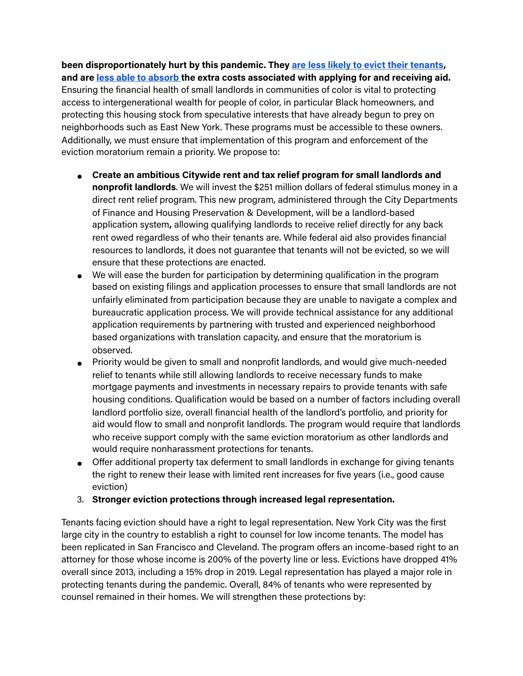**been disproportionately hurt by this pandemic. The[y are less likely to evict their tenants](https://medium.com/justfixnyc/examining-the-myth-of-the-mom-and-pop-landlord-6f9f252a09c), and ar[e less able to absorb](https://www.urban.org/urban-wire/black-and-hispanic-landlords-are-facing-great-financial-struggles-because-covid-19-pandemic-they-also-support-their-tenants-higher-rates) the extra costs associated with applying for and receiving aid.**  Ensuring the financial health of small landlords in communities of color is vital to protecting access to intergenerational wealth for people of color, in particular Black homeowners, and protecting this housing stock from speculative interests that have already begun to prey on neighborhoods such as East New York. These programs must be accessible to these owners. Additionally, we must ensure that implementation of this program and enforcement of the eviction moratorium remain a priority. We propose to:

- **Create an ambitious Citywide rent and tax relief program for small landlords and nonprofit landlords**. We will invest the \$251 million dollars of federal stimulus money in a direct rent relief program. This new program, administered through the City Departments of Finance and Housing Preservation & Development, will be a landlord-based application system**,** allowing qualifying landlords to receive relief directly for any back rent owed regardless of who their tenants are. While federal aid also provides financial resources to landlords, it does not guarantee that tenants will not be evicted, so we will ensure that these protections are enacted.
- We will ease the burden for participation by determining qualification in the program based on existing filings and application processes to ensure that small landlords are not unfairly eliminated from participation because they are unable to navigate a complex and bureaucratic application process. We will provide technical assistance for any additional application requirements by partnering with trusted and experienced neighborhood based organizations with translation capacity, and ensure that the moratorium is observed.
- Priority would be given to small and nonprofit landlords, and would give much-needed relief to tenants while still allowing landlords to receive necessary funds to make mortgage payments and investments in necessary repairs to provide tenants with safe housing conditions. Qualification would be based on a number of factors including overall landlord portfolio size, overall financial health of the landlord's portfolio, and priority for aid would flow to small and nonprofit landlords. The program would require that landlords who receive support comply with the same eviction moratorium as other landlords and would require nonharassment protections for tenants.
- Offer additional property tax deferment to small landlords in exchange for giving tenants the right to renew their lease with limited rent increases for five years (i.e., good cause eviction)
- 3. **Stronger eviction protections through increased legal representation.**

Tenants facing eviction should have a right to legal representation. New York City was the first large city in the country to establish a right to counsel for low income tenants. The model has been replicated in San Francisco and Cleveland. The program offers an income-based right to an attorney for those whose income is 200% of the poverty line or less. Evictions have dropped 41% overall since 2013, including a 15% drop in 2019. Legal representation has played a major role in protecting tenants during the pandemic. Overall, 84% of tenants who were represented by counsel remained in their homes. We will strengthen these protections by: